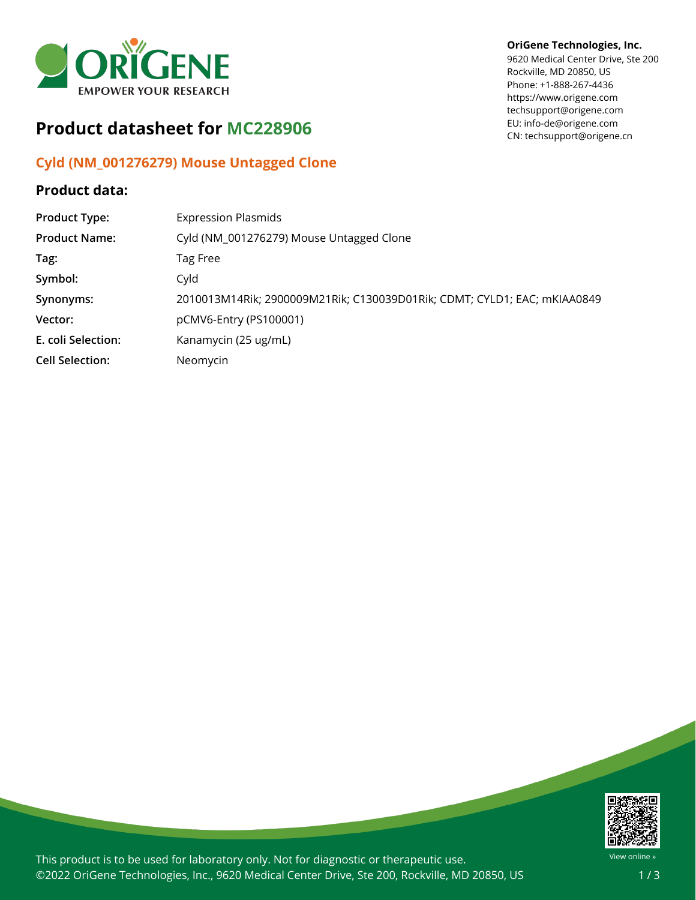

## **Product datasheet for MC228906**

## **Cyld (NM\_001276279) Mouse Untagged Clone**

## **Product data:**

## **OriGene Technologies, Inc.**

9620 Medical Center Drive, Ste 200 Rockville, MD 20850, US Phone: +1-888-267-4436 https://www.origene.com techsupport@origene.com EU: info-de@origene.com CN: techsupport@origene.cn

| <b>Product Type:</b>   | <b>Expression Plasmids</b>                                               |
|------------------------|--------------------------------------------------------------------------|
| <b>Product Name:</b>   | Cyld (NM_001276279) Mouse Untagged Clone                                 |
| Tag:                   | Tag Free                                                                 |
| Symbol:                | Cyld                                                                     |
| Synonyms:              | 2010013M14Rik; 2900009M21Rik; C130039D01Rik; CDMT; CYLD1; EAC; mKIAA0849 |
| Vector:                | pCMV6-Entry (PS100001)                                                   |
| E. coli Selection:     | Kanamycin (25 ug/mL)                                                     |
| <b>Cell Selection:</b> | Neomycin                                                                 |
|                        |                                                                          |



This product is to be used for laboratory only. Not for diagnostic or therapeutic use. ©2022 OriGene Technologies, Inc., 9620 Medical Center Drive, Ste 200, Rockville, MD 20850, US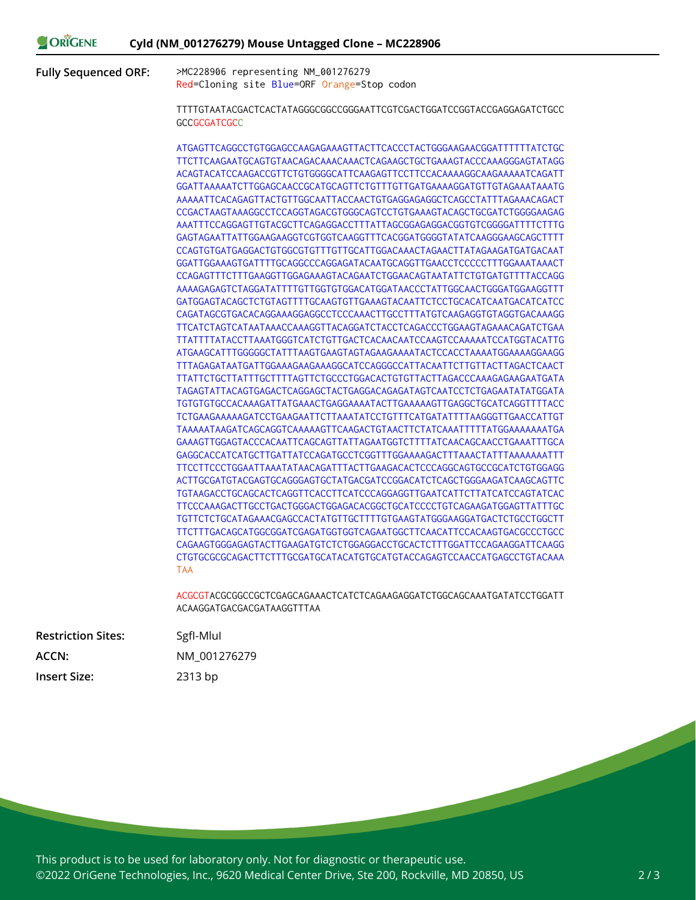ORIGENE **Cyld (NM\_001276279) Mouse Untagged Clone – MC228906**

**Fully Sequenced ORF:** >MC228906 representing NM\_001276279 Red=Cloning site Blue=ORF Orange=Stop codon

> TTTTGTAATACGACTCACTATAGGGCGGCCGGGAATTCGTCGACTGGATCCGGTACCGAGGAGATCTGCC **GCCGCGATCGCC**

> ATGAGTTCAGGCCTGTGGAGCCAAGAGAAAGTTACTTCACCCTACTGGGAAGAACGGATTTTTTATCTGC TTCTTCAAGAATGCAGTGTAACAGACAAACAAACTCAGAAGCTGCTGAAAGTACCCAAAGGGAGTATAGG ACAGTACATCCAAGACCGTTCTGTGGGGCATTCAAGAGTTCCTTCCACAAAAGGCAAGAAAAATCAGATT GGATTAAAAATCTTGGAGCAACCGCATGCAGTTCTGTTTGTTGATGAAAAGGATGTTGTAGAAATAAATG AAAAATTCACAGAGTTACTGTTGGCAATTACCAACTGTGAGGAGAGGCTCAGCCTATTTAGAAACAGACT CCGACTAAGTAAAGGCCTCCAGGTAGACGTGGGCAGTCCTGTGAAAGTACAGCTGCGATCTGGGGAAGAG AAATTTCCAGGAGTTGTACGCTTCAGAGGACCTTTATTAGCGGAGAGGACGGTGTCGGGGATTTTCTTTG GAGTAGAATTATTGGAAGAAGGTCGTGGTCAAGGTTTCACGGATGGGGTATATCAAGGGAAGCAGCTTTT CCAGTGTGATGAGGACTGTGGCGTGTTTGTTGCATTGGACAAACTAGAACTTATAGAAGATGATGACAAT GGATTGGAAAGTGATTTTGCAGGCCCAGGAGATACAATGCAGGTTGAACCTCCCCCTTTGGAAATAAACT CCAGAGTTTCTTTGAAGGTTGGAGAAAGTACAGAATCTGGAACAGTAATATTCTGTGATGTTTTACCAGG AAAAGAGAGTCTAGGATATTTTGTTGGTGTGGACATGGATAACCCTATTGGCAACTGGGATGGAAGGTTT GATGGAGTACAGCTCTGTAGTTTTGCAAGTGTTGAAAGTACAATTCTCCTGCACATCAATGACATCATCC CAGATAGCGTGACACAGGAAAGGAGGCCTCCCAAACTTGCCTTTATGTCAAGAGGTGTAGGTGACAAAGG TTCATCTAGTCATAATAAACCAAAGGTTACAGGATCTACCTCAGACCCTGGAAGTAGAAACAGATCTGAA TTATTTTATACCTTAAATGGGTCATCTGTTGACTCACAACAATCCAAGTCCAAAAATCCATGGTACATTG ATGAAGCATTTGGGGGCTATTTAAGTGAAGTAGTAGAAGAAAATACTCCACCTAAAATGGAAAAGGAAGG TTTAGAGATAATGATTGGAAAGAAGAAAGGCATCCAGGGCCATTACAATTCTTGTTACTTAGACTCAACT TTATTCTGCTTATTTGCTTTTAGTTCTGCCCTGGACACTGTGTTACTTAGACCCAAAGAGAAGAATGATA TAGAGTATTACAGTGAGACTCAGGAGCTACTGAGGACAGAGATAGTCAATCCTCTGAGAATATATGGATA TGTGTGTGCCACAAAGATTATGAAACTGAGGAAAATACTTGAAAAAGTTGAGGCTGCATCAGGTTTTACC TCTGAAGAAAAAGATCCTGAAGAATTCTTAAATATCCTGTTTCATGATATTTTAAGGGTTGAACCATTGT TAAAAATAAGATCAGCAGGTCAAAAAGTTCAAGACTGTAACTTCTATCAAATTTTTATGGAAAAAAATGA GAAAGTTGGAGTACCCACAATTCAGCAGTTATTAGAATGGTCTTTTATCAACAGCAACCTGAAATTTGCA GAGGCACCATCATGCTTGATTATCCAGATGCCTCGGTTTGGAAAAGACTTTAAACTATTTAAAAAAATTT TTCCTTCCCTGGAATTAAATATAACAGATTTACTTGAAGACACTCCCAGGCAGTGCCGCATCTGTGGAGG ACTTGCGATGTACGAGTGCAGGGAGTGCTATGACGATCCGGACATCTCAGCTGGGAAGATCAAGCAGTTC TGTAAGACCTGCAGCACTCAGGTTCACCTTCATCCCAGGAGGTTGAATCATTCTTATCATCCAGTATCAC TTCCCAAAGACTTGCCTGACTGGGACTGGAGACACGGCTGCATCCCCTGTCAGAAGATGGAGTTATTTGC TGTTCTCTGCATAGAAACGAGCCACTATGTTGCTTTTGTGAAGTATGGGAAGGATGACTCTGCCTGGCTT TTCTTTGACAGCATGGCGGATCGAGATGGTGGTCAGAATGGCTTCAACATTCCACAAGTGACGCCCTGCC CAGAAGTGGGAGAGTACTTGAAGATGTCTCTGGAGGACCTGCACTCTTTGGATTCCAGAAGGATTCAAGG CTGTGCGCGCAGACTTCTTTGCGATGCATACATGTGCATGTACCAGAGTCCAACCATGAGCCTGTACAAA TAA

> ACGCGTACGCGGCCGCTCGAGCAGAAACTCATCTCAGAAGAGGATCTGGCAGCAAATGATATCCTGGATT ACAAGGATGACGACGATAAGGTTTAA

| <b>Restriction Sites:</b> | SgfI-Mlul    |
|---------------------------|--------------|
| ACCN:                     | NM 001276279 |
| <b>Insert Size:</b>       | 2313 bp      |

This product is to be used for laboratory only. Not for diagnostic or therapeutic use. ©2022 OriGene Technologies, Inc., 9620 Medical Center Drive, Ste 200, Rockville, MD 20850, US